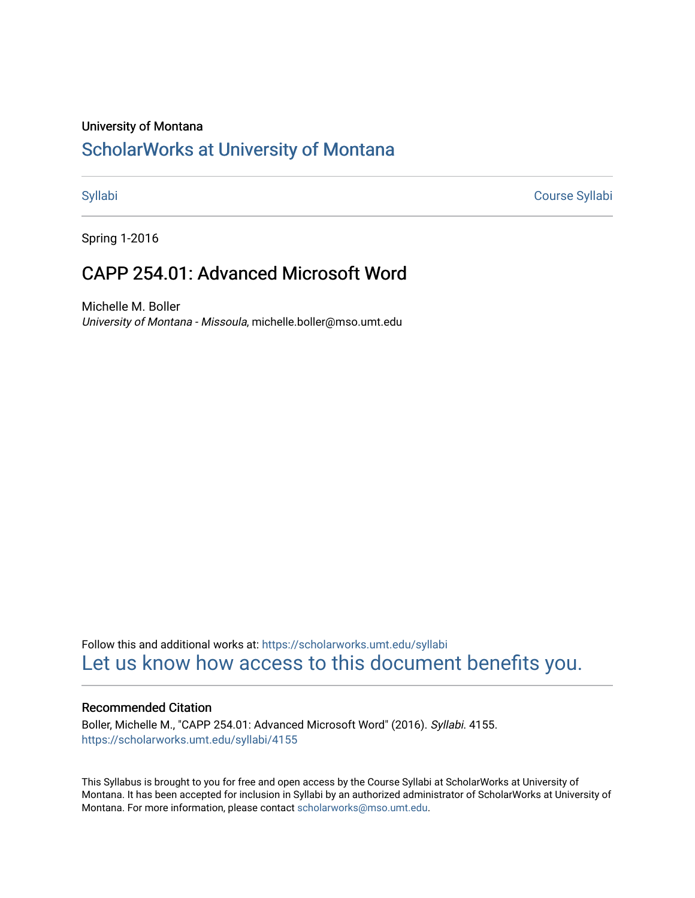#### University of Montana

# [ScholarWorks at University of Montana](https://scholarworks.umt.edu/)

[Syllabi](https://scholarworks.umt.edu/syllabi) [Course Syllabi](https://scholarworks.umt.edu/course_syllabi) 

Spring 1-2016

# CAPP 254.01: Advanced Microsoft Word

Michelle M. Boller University of Montana - Missoula, michelle.boller@mso.umt.edu

Follow this and additional works at: [https://scholarworks.umt.edu/syllabi](https://scholarworks.umt.edu/syllabi?utm_source=scholarworks.umt.edu%2Fsyllabi%2F4155&utm_medium=PDF&utm_campaign=PDFCoverPages)  [Let us know how access to this document benefits you.](https://goo.gl/forms/s2rGfXOLzz71qgsB2) 

#### Recommended Citation

Boller, Michelle M., "CAPP 254.01: Advanced Microsoft Word" (2016). Syllabi. 4155. [https://scholarworks.umt.edu/syllabi/4155](https://scholarworks.umt.edu/syllabi/4155?utm_source=scholarworks.umt.edu%2Fsyllabi%2F4155&utm_medium=PDF&utm_campaign=PDFCoverPages)

This Syllabus is brought to you for free and open access by the Course Syllabi at ScholarWorks at University of Montana. It has been accepted for inclusion in Syllabi by an authorized administrator of ScholarWorks at University of Montana. For more information, please contact [scholarworks@mso.umt.edu.](mailto:scholarworks@mso.umt.edu)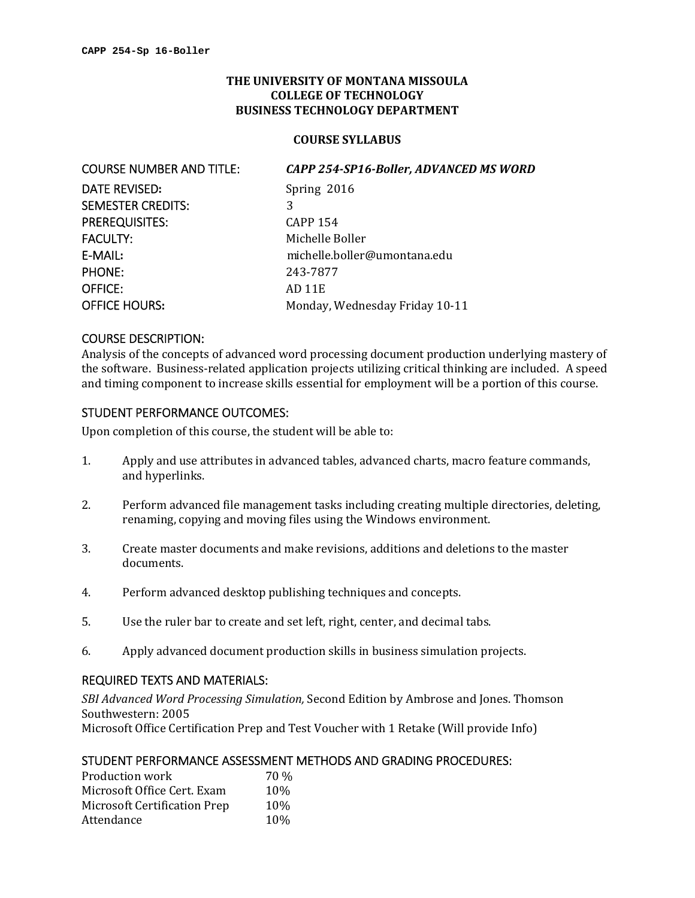### **THE UNIVERSITY OF MONTANA MISSOULA COLLEGE OF TECHNOLOGY BUSINESS TECHNOLOGY DEPARTMENT**

#### **COURSE SYLLABUS**

  COURSE NUMBER AND TITLE: *CAPP 254‐SP16‐Boller, ADVANCED MS WORD* **Spring 2016**  $\sim$  3 E-MAIL:  $AD11E$ DATE REVISED: SEMESTER CREDITS: 3 PREREQUISITES: CAPP 154 FACULTY: Michelle Boller E‐MAIL**:** michelle.boller@umontana.edu PHONE: 243‐7877 OFFICE: OFFICE HOURS: Monday, Wednesday Friday 10-11

#### COURSE DESCRIPTION:

Analysis of the concepts of advanced word processing document production underlying mastery of the software. Business-related application projects utilizing critical thinking are included. A speed and timing component to increase skills essential for employment will be a portion of this course.

# STUDENT PERFORMANCE OUTCOMES:

Upon completion of this course, the student will be able to:

- 1. Apply and use attributes in advanced tables, advanced charts, macro feature commands, and hyperlinks.
- 2. Perform advanced file management tasks including creating multiple directories, deleting, renaming, copying and moving files using the Windows environment.
- 3. Create master documents and make revisions, additions and deletions to the master documents.
- 4. Perform advanced desktop publishing techniques and concepts.
- 5. Use the ruler bar to create and set left, right, center, and decimal tabs.
- 6. Apply advanced document production skills in business simulation projects.

### REQUIRED TEXTS AND MATERIALS:

 *SBI Advanced Word Processing Simulation,* Second Edition by Ambrose and Jones. Thomson Southwestern: 2005 Microsoft Office Certification Prep and Test Voucher with 1 Retake (Will provide Info)

## STUDENT PERFORMANCE ASSESSMENT METHODS AND GRADING PROCEDURES:

| Production work                     | 70 % |
|-------------------------------------|------|
| Microsoft Office Cert. Exam         | 10\% |
| <b>Microsoft Certification Prep</b> | 10%  |
| Attendance                          | 10\% |